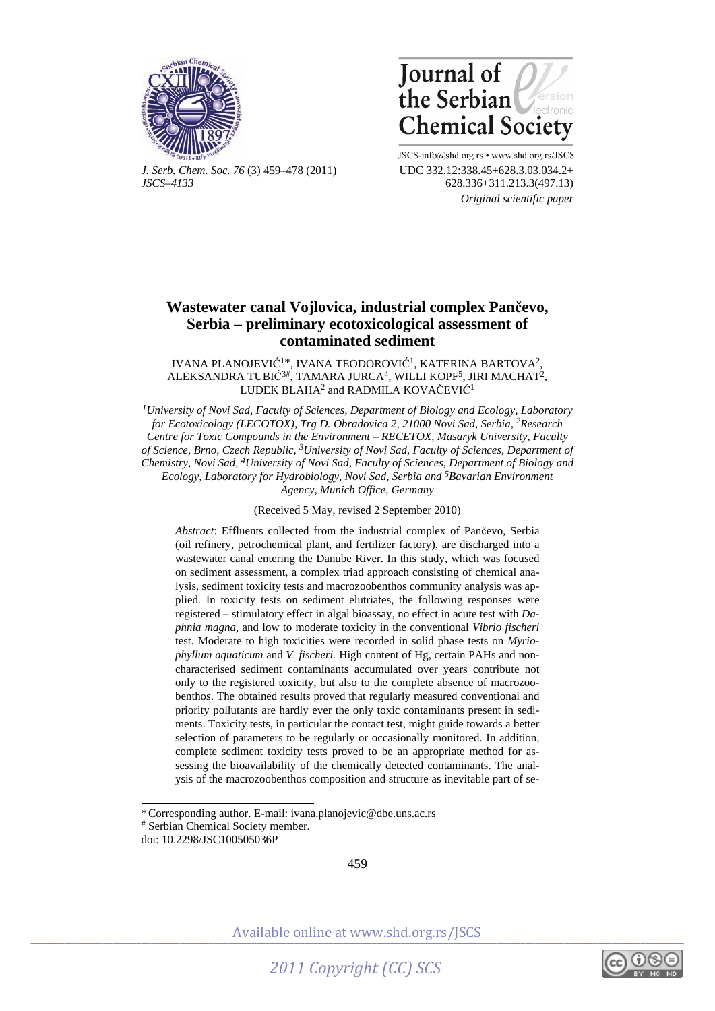



*J. Serb. Chem. Soc. 76* (3) 459–478 (2011) UDC 332.12:338.45+628.3.03.034.2+ *JSCS–4133* 628.336+311.213.3(497.13)

JSCS-info@shd.org.rs • www.shd.org.rs/JSCS  *Original scientific paper* 

# **Wastewater canal Vojlovica, industrial complex Pančevo, Serbia – preliminary ecotoxicological assessment of contaminated sediment**

IVANA PLANOJEVIĆ1\*, IVANA TEODOROVIĆ1, KATERINA BARTOVA2, ALEKSANDRA TUBIĆ3#, TAMARA JURCA4, WILLI KOPF5, JIRI MACHAT2, LUDEK BLAHA2 and RADMILA KOVAČEVIĆ<sup>1</sup>

*1University of Novi Sad, Faculty of Sciences, Department of Biology and Ecology, Laboratory for Ecotoxicology (LECOTOX), Trg D. Obradovica 2, 21000 Novi Sad, Serbia, 2Research Centre for Toxic Compounds in the Environment – RECETOX, Masaryk University, Faculty of Science, Brno, Czech Republic, 3University of Novi Sad, Faculty of Sciences, Department of Chemistry, Novi Sad, 4University of Novi Sad, Faculty of Sciences, Department of Biology and Ecology, Laboratory for Hydrobiology, Novi Sad, Serbia and 5Bavarian Environment Agency, Munich Office, Germany* 

(Received 5 May, revised 2 September 2010)

*Abstract*: Effluents collected from the industrial complex of Pančevo, Serbia (oil refinery, petrochemical plant, and fertilizer factory), are discharged into a wastewater canal entering the Danube River. In this study, which was focused on sediment assessment, a complex triad approach consisting of chemical analysis, sediment toxicity tests and macrozoobenthos community analysis was applied. In toxicity tests on sediment elutriates, the following responses were registered – stimulatory effect in algal bioassay, no effect in acute test with *Daphnia magna*, and low to moderate toxicity in the conventional *Vibrio fischeri* test. Moderate to high toxicities were recorded in solid phase tests on *Myriophyllum aquaticum* and *V. fischeri.* High content of Hg, certain PAHs and noncharacterised sediment contaminants accumulated over years contribute not only to the registered toxicity, but also to the complete absence of macrozoobenthos. The obtained results proved that regularly measured conventional and priority pollutants are hardly ever the only toxic contaminants present in sediments. Toxicity tests, in particular the contact test, might guide towards a better selection of parameters to be regularly or occasionally monitored. In addition, complete sediment toxicity tests proved to be an appropriate method for assessing the bioavailability of the chemically detected contaminants. The analysis of the macrozoobenthos composition and structure as inevitable part of se-

doi: 10.2298/JSC100505036P

í

459



<sup>\*</sup> Corresponding author. E-mail: ivana.planojevic@dbe.uns.ac.rs

<sup>#</sup> Serbian Chemical Society member.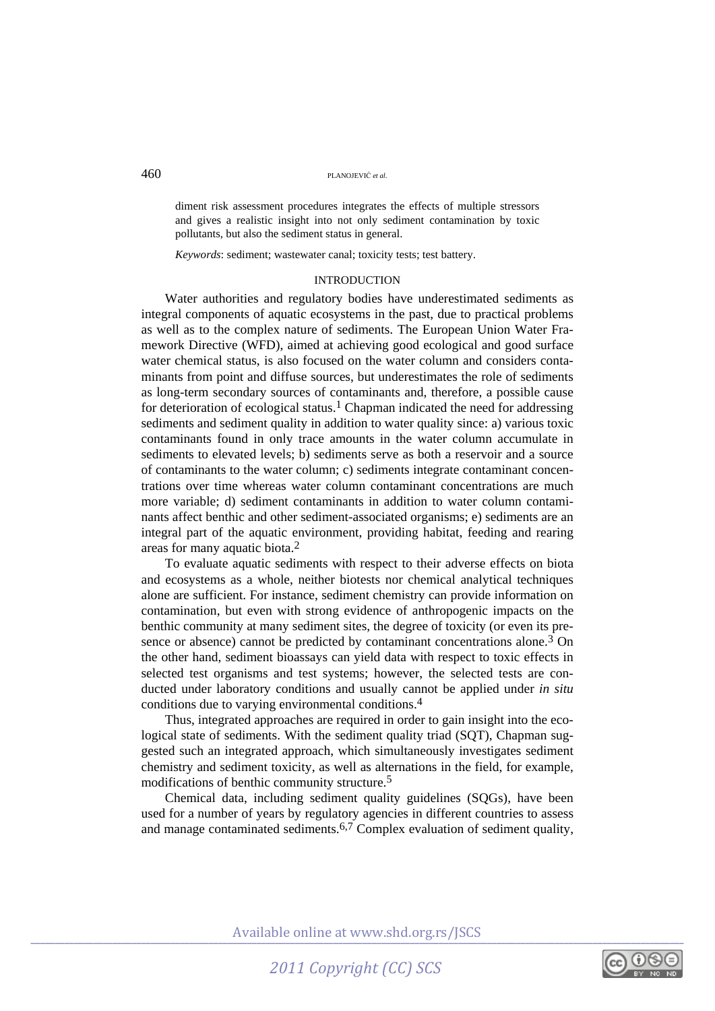diment risk assessment procedures integrates the effects of multiple stressors and gives a realistic insight into not only sediment contamination by toxic pollutants, but also the sediment status in general.

*Keywords*: sediment; wastewater canal; toxicity tests; test battery.

### INTRODUCTION

Water authorities and regulatory bodies have underestimated sediments as integral components of aquatic ecosystems in the past, due to practical problems as well as to the complex nature of sediments. The European Union Water Framework Directive (WFD), aimed at achieving good ecological and good surface water chemical status, is also focused on the water column and considers contaminants from point and diffuse sources, but underestimates the role of sediments as long-term secondary sources of contaminants and, therefore, a possible cause for deterioration of ecological status.<sup>1</sup> Chapman indicated the need for addressing sediments and sediment quality in addition to water quality since: a) various toxic contaminants found in only trace amounts in the water column accumulate in sediments to elevated levels; b) sediments serve as both a reservoir and a source of contaminants to the water column; c) sediments integrate contaminant concentrations over time whereas water column contaminant concentrations are much more variable; d) sediment contaminants in addition to water column contaminants affect benthic and other sediment-associated organisms; e) sediments are an integral part of the aquatic environment, providing habitat, feeding and rearing areas for many aquatic biota.2

To evaluate aquatic sediments with respect to their adverse effects on biota and ecosystems as a whole, neither biotests nor chemical analytical techniques alone are sufficient. For instance, sediment chemistry can provide information on contamination, but even with strong evidence of anthropogenic impacts on the benthic community at many sediment sites, the degree of toxicity (or even its presence or absence) cannot be predicted by contaminant concentrations alone.3 On the other hand, sediment bioassays can yield data with respect to toxic effects in selected test organisms and test systems; however, the selected tests are conducted under laboratory conditions and usually cannot be applied under *in situ* conditions due to varying environmental conditions.4

Thus, integrated approaches are required in order to gain insight into the ecological state of sediments. With the sediment quality triad (SOT), Chapman suggested such an integrated approach, which simultaneously investigates sediment chemistry and sediment toxicity, as well as alternations in the field, for example, modifications of benthic community structure.5

Chemical data, including sediment quality guidelines (SQGs), have been used for a number of years by regulatory agencies in different countries to assess and manage contaminated sediments.6,7 Complex evaluation of sediment quality,

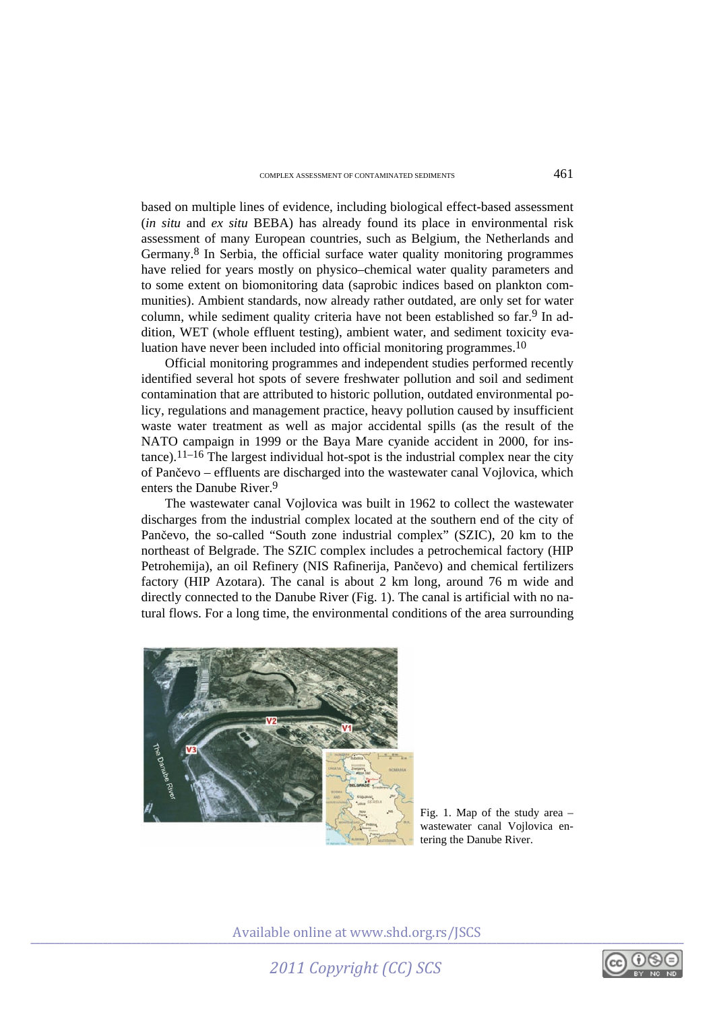based on multiple lines of evidence, including biological effect-based assessment (*in situ* and *ex situ* BEBA) has already found its place in environmental risk assessment of many European countries, such as Belgium, the Netherlands and Germany.8 In Serbia, the official surface water quality monitoring programmes have relied for years mostly on physico–chemical water quality parameters and to some extent on biomonitoring data (saprobic indices based on plankton communities). Ambient standards, now already rather outdated, are only set for water column, while sediment quality criteria have not been established so far.<sup>9</sup> In addition, WET (whole effluent testing), ambient water, and sediment toxicity evaluation have never been included into official monitoring programmes.10

Official monitoring programmes and independent studies performed recently identified several hot spots of severe freshwater pollution and soil and sediment contamination that are attributed to historic pollution, outdated environmental policy, regulations and management practice, heavy pollution caused by insufficient waste water treatment as well as major accidental spills (as the result of the NATO campaign in 1999 or the Baya Mare cyanide accident in 2000, for instance).<sup>11–16</sup> The largest individual hot-spot is the industrial complex near the city of Pančevo – effluents are discharged into the wastewater canal Vojlovica, which enters the Danube River.9

The wastewater canal Vojlovica was built in 1962 to collect the wastewater discharges from the industrial complex located at the southern end of the city of Pančevo, the so-called "South zone industrial complex" (SZIC), 20 km to the northeast of Belgrade. The SZIC complex includes a petrochemical factory (HIP Petrohemija), an oil Refinery (NIS Rafinerija, Pančevo) and chemical fertilizers factory (HIP Azotara). The canal is about 2 km long, around 76 m wide and directly connected to the Danube River (Fig. 1). The canal is artificial with no natural flows. For a long time, the environmental conditions of the area surrounding



Fig. 1. Map of the study area – wastewater canal Vojlovica entering the Danube River.

Available online at www.shd.org.rs/JSCS

2011 Copyright (CC) SCS

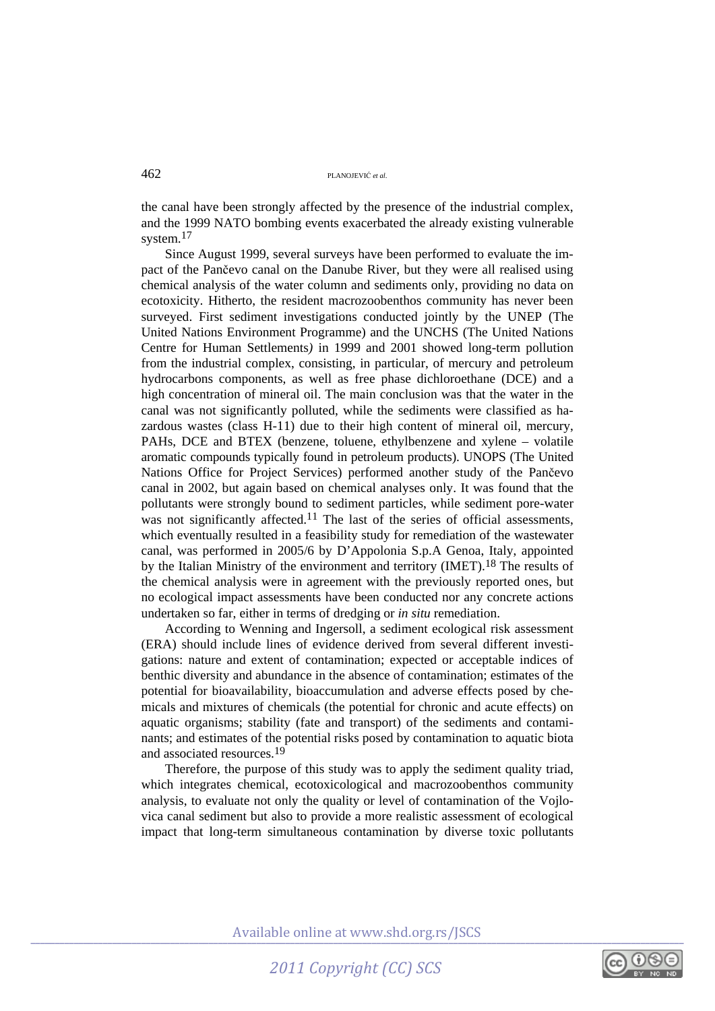the canal have been strongly affected by the presence of the industrial complex, and the 1999 NATO bombing events exacerbated the already existing vulnerable system.<sup>17</sup>

Since August 1999, several surveys have been performed to evaluate the impact of the Pančevo canal on the Danube River, but they were all realised using chemical analysis of the water column and sediments only, providing no data on ecotoxicity. Hitherto, the resident macrozoobenthos community has never been surveyed. First sediment investigations conducted jointly by the UNEP (The United Nations Environment Programme) and the UNCHS (The United Nations Centre for Human Settlements*)* in 1999 and 2001 showed long-term pollution from the industrial complex, consisting, in particular, of mercury and petroleum hydrocarbons components, as well as free phase dichloroethane (DCE) and a high concentration of mineral oil. The main conclusion was that the water in the canal was not significantly polluted, while the sediments were classified as hazardous wastes (class H-11) due to their high content of mineral oil, mercury, PAHs, DCE and BTEX (benzene, toluene, ethylbenzene and xylene – volatile aromatic compounds typically found in petroleum products). UNOPS (The United Nations Office for Project Services) performed another study of the Pančevo canal in 2002, but again based on chemical analyses only. It was found that the pollutants were strongly bound to sediment particles, while sediment pore-water was not significantly affected.<sup>11</sup> The last of the series of official assessments, which eventually resulted in a feasibility study for remediation of the wastewater canal, was performed in 2005/6 by D'Appolonia S.p.A Genoa, Italy, appointed by the Italian Ministry of the environment and territory (IMET).18 The results of the chemical analysis were in agreement with the previously reported ones, but no ecological impact assessments have been conducted nor any concrete actions undertaken so far, either in terms of dredging or *in situ* remediation.

According to Wenning and Ingersoll, a sediment ecological risk assessment (ERA) should include lines of evidence derived from several different investigations: nature and extent of contamination; expected or acceptable indices of benthic diversity and abundance in the absence of contamination; estimates of the potential for bioavailability, bioaccumulation and adverse effects posed by chemicals and mixtures of chemicals (the potential for chronic and acute effects) on aquatic organisms; stability (fate and transport) of the sediments and contaminants; and estimates of the potential risks posed by contamination to aquatic biota and associated resources.19

Therefore, the purpose of this study was to apply the sediment quality triad, which integrates chemical, ecotoxicological and macrozoobenthos community analysis, to evaluate not only the quality or level of contamination of the Vojlovica canal sediment but also to provide a more realistic assessment of ecological impact that long-term simultaneous contamination by diverse toxic pollutants

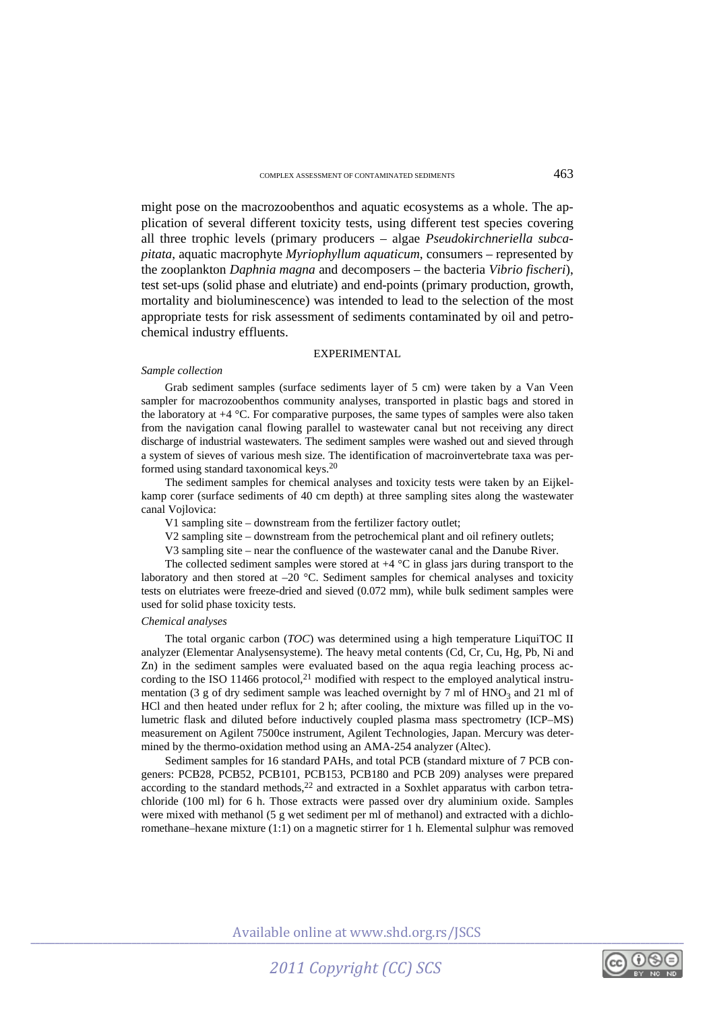might pose on the macrozoobenthos and aquatic ecosystems as a whole. The application of several different toxicity tests, using different test species covering all three trophic levels (primary producers – algae *Pseudokirchneriella subcapitata*, aquatic macrophyte *Myriophyllum aquaticum*, consumers – represented by the zooplankton *Daphnia magna* and decomposers – the bacteria *Vibrio fischeri*), test set-ups (solid phase and elutriate) and end-points (primary production, growth, mortality and bioluminescence) was intended to lead to the selection of the most appropriate tests for risk assessment of sediments contaminated by oil and petrochemical industry effluents.

### EXPERIMENTAL

### *Sample collection*

Grab sediment samples (surface sediments layer of 5 cm) were taken by a Van Veen sampler for macrozoobenthos community analyses, transported in plastic bags and stored in the laboratory at  $+4$  °C. For comparative purposes, the same types of samples were also taken from the navigation canal flowing parallel to wastewater canal but not receiving any direct discharge of industrial wastewaters. The sediment samples were washed out and sieved through a system of sieves of various mesh size. The identification of macroinvertebrate taxa was performed using standard taxonomical keys.<sup>20</sup>

The sediment samples for chemical analyses and toxicity tests were taken by an Eijkelkamp corer (surface sediments of 40 cm depth) at three sampling sites along the wastewater canal Vojlovica:

V1 sampling site – downstream from the fertilizer factory outlet;

V2 sampling site – downstream from the petrochemical plant and oil refinery outlets;

V3 sampling site – near the confluence of the wastewater canal and the Danube River.

The collected sediment samples were stored at  $+4$  °C in glass jars during transport to the laboratory and then stored at –20 °C. Sediment samples for chemical analyses and toxicity tests on elutriates were freeze-dried and sieved (0.072 mm), while bulk sediment samples were used for solid phase toxicity tests.

### *Chemical analyses*

The total organic carbon (*TOC*) was determined using a high temperature LiquiTOC II analyzer (Elementar Analysensysteme). The heavy metal contents (Cd, Cr, Cu, Hg, Pb, Ni and Zn) in the sediment samples were evaluated based on the aqua regia leaching process according to the ISO 11466 protocol,<sup>21</sup> modified with respect to the employed analytical instrumentation (3 g of dry sediment sample was leached overnight by 7 ml of  $HNO<sub>3</sub>$  and 21 ml of HCl and then heated under reflux for 2 h; after cooling, the mixture was filled up in the volumetric flask and diluted before inductively coupled plasma mass spectrometry (ICP–MS) measurement on Agilent 7500ce instrument, Agilent Technologies, Japan. Mercury was determined by the thermo-oxidation method using an AMA-254 analyzer (Altec).

Sediment samples for 16 standard PAHs, and total PCB (standard mixture of 7 PCB congeners: PCB28, PCB52, PCB101, PCB153, PCB180 and PCB 209) analyses were prepared according to the standard methods,<sup>22</sup> and extracted in a Soxhlet apparatus with carbon tetrachloride (100 ml) for 6 h. Those extracts were passed over dry aluminium oxide. Samples were mixed with methanol (5 g wet sediment per ml of methanol) and extracted with a dichloromethane–hexane mixture (1:1) on a magnetic stirrer for 1 h. Elemental sulphur was removed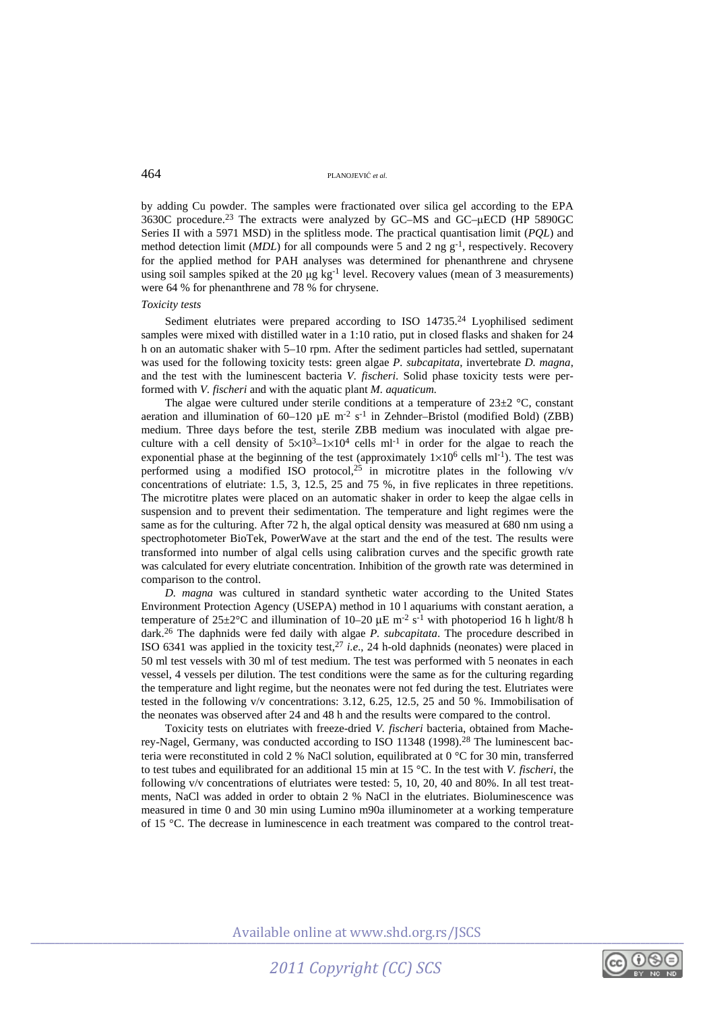by adding Cu powder. The samples were fractionated over silica gel according to the EPA 3630C procedure.23 The extracts were analyzed by GC–MS and GC–μECD (HP 5890GC Series II with a 5971 MSD) in the splitless mode. The practical quantisation limit (*PQL*) and method detection limit (*MDL*) for all compounds were 5 and 2 ng  $g^{-1}$ , respectively. Recovery for the applied method for PAH analyses was determined for phenanthrene and chrysene using soil samples spiked at the 20 μg kg-1 level. Recovery values (mean of 3 measurements) were 64 % for phenanthrene and 78 % for chrysene.

#### *Toxicity tests*

Sediment elutriates were prepared according to ISO 14735.<sup>24</sup> Lyophilised sediment samples were mixed with distilled water in a 1:10 ratio, put in closed flasks and shaken for 24 h on an automatic shaker with 5–10 rpm. After the sediment particles had settled, supernatant was used for the following toxicity tests: green algae *P. subcapitata*, invertebrate *D. magna*, and the test with the luminescent bacteria *V. fischeri*. Solid phase toxicity tests were performed with *V. fischeri* and with the aquatic plant *M. aquaticum.* 

The algae were cultured under sterile conditions at a temperature of  $23\pm2$  °C, constant aeration and illumination of  $60-120 \mu E \ m^2 s^{-1}$  in Zehnder–Bristol (modified Bold) (ZBB) medium. Three days before the test, sterile ZBB medium was inoculated with algae preculture with a cell density of  $5\times10^3$ -1 $\times10^4$  cells ml<sup>-1</sup> in order for the algae to reach the exponential phase at the beginning of the test (approximately  $1\times10^6$  cells ml<sup>-1</sup>). The test was performed using a modified ISO protocol,<sup>25</sup> in microtitre plates in the following v/v concentrations of elutriate: 1.5, 3, 12.5, 25 and 75 %, in five replicates in three repetitions. The microtitre plates were placed on an automatic shaker in order to keep the algae cells in suspension and to prevent their sedimentation. The temperature and light regimes were the same as for the culturing. After 72 h, the algal optical density was measured at 680 nm using a spectrophotometer BioTek, PowerWave at the start and the end of the test. The results were transformed into number of algal cells using calibration curves and the specific growth rate was calculated for every elutriate concentration. Inhibition of the growth rate was determined in comparison to the control.

*D. magna* was cultured in standard synthetic water according to the United States Environment Protection Agency (USEPA) method in 10 l aquariums with constant aeration, a temperature of  $25\pm2$ °C and illumination of 10–20  $\mu$ E m<sup>-2</sup> s<sup>-1</sup> with photoperiod 16 h light/8 h dark.26 The daphnids were fed daily with algae *P. subcapitata*. The procedure described in ISO 6341 was applied in the toxicity test,<sup>27</sup> *i.e*., 24 h-old daphnids (neonates) were placed in 50 ml test vessels with 30 ml of test medium. The test was performed with 5 neonates in each vessel, 4 vessels per dilution. The test conditions were the same as for the culturing regarding the temperature and light regime, but the neonates were not fed during the test. Elutriates were tested in the following v/v concentrations: 3.12, 6.25, 12.5, 25 and 50 %. Immobilisation of the neonates was observed after 24 and 48 h and the results were compared to the control.

Toxicity tests on elutriates with freeze-dried *V. fischeri* bacteria, obtained from Macherey-Nagel, Germany, was conducted according to ISO 11348 (1998).<sup>28</sup> The luminescent bacteria were reconstituted in cold 2 % NaCl solution, equilibrated at 0 °C for 30 min, transferred to test tubes and equilibrated for an additional 15 min at 15 °C. In the test with *V. fischeri*, the following v/v concentrations of elutriates were tested: 5, 10, 20, 40 and 80%. In all test treatments, NaCl was added in order to obtain 2 % NaCl in the elutriates. Bioluminescence was measured in time 0 and 30 min using Lumino m90a illuminometer at a working temperature of 15 °C. The decrease in luminescence in each treatment was compared to the control treat-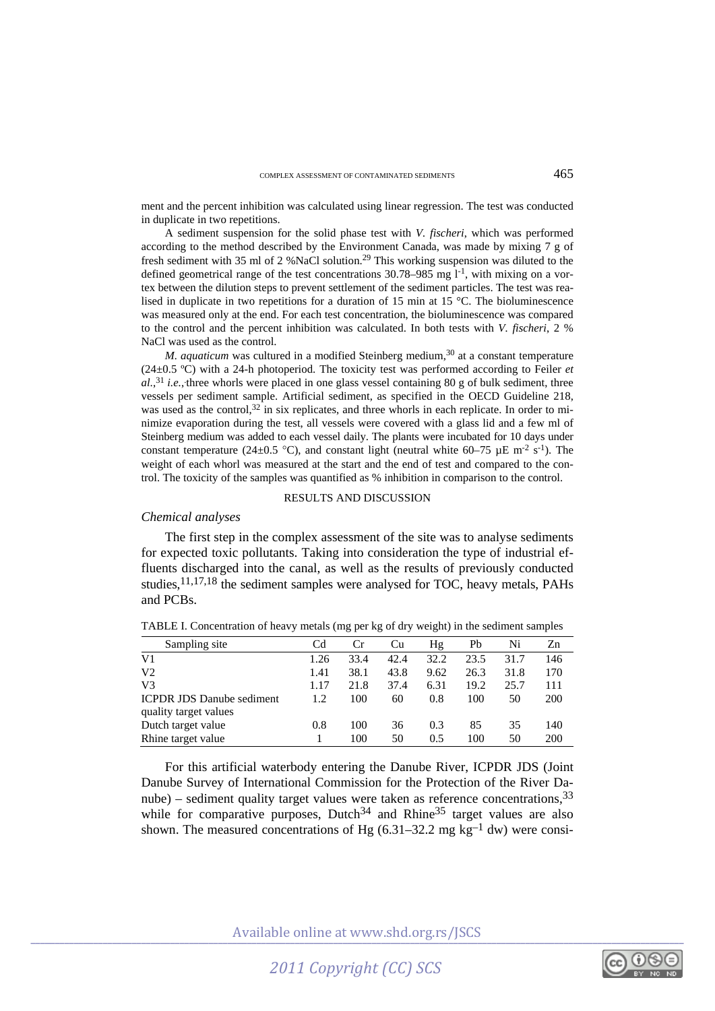ment and the percent inhibition was calculated using linear regression. The test was conducted in duplicate in two repetitions.

A sediment suspension for the solid phase test with *V. fischeri*, which was performed according to the method described by the Environment Canada, was made by mixing 7 g of fresh sediment with 35 ml of 2 %NaCl solution.29 This working suspension was diluted to the defined geometrical range of the test concentrations  $30.78-985$  mg  $1^{-1}$ , with mixing on a vortex between the dilution steps to prevent settlement of the sediment particles. The test was realised in duplicate in two repetitions for a duration of 15 min at 15 °C. The bioluminescence was measured only at the end. For each test concentration, the bioluminescence was compared to the control and the percent inhibition was calculated. In both tests with *V. fischeri*, 2 % NaCl was used as the control.

*M. aquaticum* was cultured in a modified Steinberg medium,<sup>30</sup> at a constant temperature (24±0.5 ºC) with a 24-h photoperiod. The toxicity test was performed according to Feiler *et*  al.,<sup>31</sup> *i.e.*, three whorls were placed in one glass vessel containing 80 g of bulk sediment, three vessels per sediment sample. Artificial sediment, as specified in the OECD Guideline 218, was used as the control,<sup>32</sup> in six replicates, and three whorls in each replicate. In order to minimize evaporation during the test, all vessels were covered with a glass lid and a few ml of Steinberg medium was added to each vessel daily. The plants were incubated for 10 days under constant temperature (24 $\pm$ 0.5 °C), and constant light (neutral white 60–75  $\mu$ E m<sup>-2</sup> s<sup>-1</sup>). The weight of each whorl was measured at the start and the end of test and compared to the control. The toxicity of the samples was quantified as % inhibition in comparison to the control.

### RESULTS AND DISCUSSION

## *Chemical analyses*

The first step in the complex assessment of the site was to analyse sediments for expected toxic pollutants. Taking into consideration the type of industrial effluents discharged into the canal, as well as the results of previously conducted studies,<sup>11,17,18</sup> the sediment samples were analysed for TOC, heavy metals, PAHs and PCBs.

| Sampling site                    | Cd   | Сr   | Cu   | Hg   | Pb   | Ni   | Zn  |
|----------------------------------|------|------|------|------|------|------|-----|
| V <sub>1</sub>                   | 1.26 | 33.4 | 42.4 | 32.2 | 23.5 | 31.7 | 146 |
| V <sub>2</sub>                   | 1.41 | 38.1 | 43.8 | 9.62 | 26.3 | 31.8 | 170 |
| V3                               | 1.17 | 21.8 | 37.4 | 6.31 | 19.2 | 25.7 | 111 |
| <b>ICPDR JDS Danube sediment</b> | 1.2  | 100  | 60   | 0.8  | 100  | 50   | 200 |
| quality target values            |      |      |      |      |      |      |     |
| Dutch target value               | 0.8  | 100  | 36   | 0.3  | 85   | 35   | 140 |
| Rhine target value               |      | 100  | 50   | 0.5  | 100  | 50   | 200 |

TABLE I. Concentration of heavy metals (mg per kg of dry weight) in the sediment samples

For this artificial waterbody entering the Danube River, ICPDR JDS (Joint Danube Survey of International Commission for the Protection of the River Danube) – sediment quality target values were taken as reference concentrations,  $33$ while for comparative purposes, Dutch<sup>34</sup> and Rhine<sup>35</sup> target values are also shown. The measured concentrations of Hg  $(6.31-32.2 \text{ mg kg}^{-1} \text{ dw})$  were consi-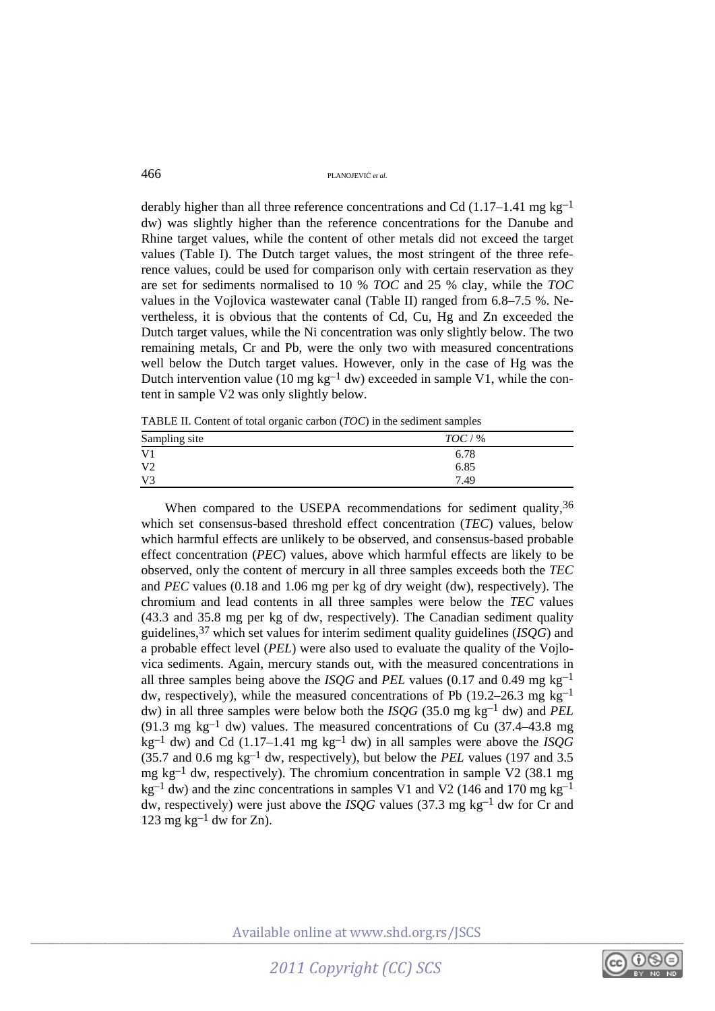derably higher than all three reference concentrations and Cd  $(1.17-1.41 \text{ mg kg}^{-1})$ dw) was slightly higher than the reference concentrations for the Danube and Rhine target values, while the content of other metals did not exceed the target values (Table I). The Dutch target values, the most stringent of the three reference values, could be used for comparison only with certain reservation as they are set for sediments normalised to 10 % *TOC* and 25 % clay, while the *TOC* values in the Vojlovica wastewater canal (Table II) ranged from 6.8–7.5 %. Nevertheless, it is obvious that the contents of Cd, Cu, Hg and Zn exceeded the Dutch target values, while the Ni concentration was only slightly below. The two remaining metals, Cr and Pb, were the only two with measured concentrations well below the Dutch target values. However, only in the case of Hg was the Dutch intervention value (10 mg kg<sup>-1</sup> dw) exceeded in sample V1, while the content in sample V2 was only slightly below.

TABLE II. Content of total organic carbon (*TOC*) in the sediment samples

| Sampling site  | TOC / % |  |  |
|----------------|---------|--|--|
| V <sub>1</sub> | 6.78    |  |  |
| V <sub>2</sub> | 6.85    |  |  |
| V <sup>2</sup> | 7.49    |  |  |

When compared to the USEPA recommendations for sediment quality, 36 which set consensus-based threshold effect concentration (*TEC*) values, below which harmful effects are unlikely to be observed, and consensus-based probable effect concentration (*PEC*) values, above which harmful effects are likely to be observed, only the content of mercury in all three samples exceeds both the *TEC* and *PEC* values (0.18 and 1.06 mg per kg of dry weight (dw), respectively). The chromium and lead contents in all three samples were below the *TEC* values (43.3 and 35.8 mg per kg of dw, respectively). The Canadian sediment quality guidelines,37 which set values for interim sediment quality guidelines (*ISQG*) and a probable effect level (*PEL*) were also used to evaluate the quality of the Vojlovica sediments. Again, mercury stands out, with the measured concentrations in all three samples being above the *ISOG* and *PEL* values (0.17 and 0.49 mg kg<sup>-1</sup> dw, respectively), while the measured concentrations of Pb  $(19.2-26.3 \text{ mg kg}^{-1})$ dw) in all three samples were below both the *ISQG* (35.0 mg kg–1 dw) and *PEL* (91.3 mg kg<sup>-1</sup> dw) values. The measured concentrations of Cu  $(37.4-43.8 \text{ mg})$  $kg^{-1}$  dw) and Cd (1.17–1.41 mg kg<sup>-1</sup> dw) in all samples were above the *ISQG*  $(35.7 \text{ and } 0.6 \text{ mg kg}^{-1}$  dw, respectively), but below the *PEL* values (197 and 3.5) mg  $kg<sup>-1</sup>$  dw, respectively). The chromium concentration in sample V2 (38.1 mg  $kg<sup>-1</sup>$  dw) and the zinc concentrations in samples V1 and V2 (146 and 170 mg kg<sup>-1</sup> dw, respectively) were just above the *ISQG* values (37.3 mg  $kg^{-1}$  dw for Cr and 123 mg kg<sup>-1</sup> dw for Zn).

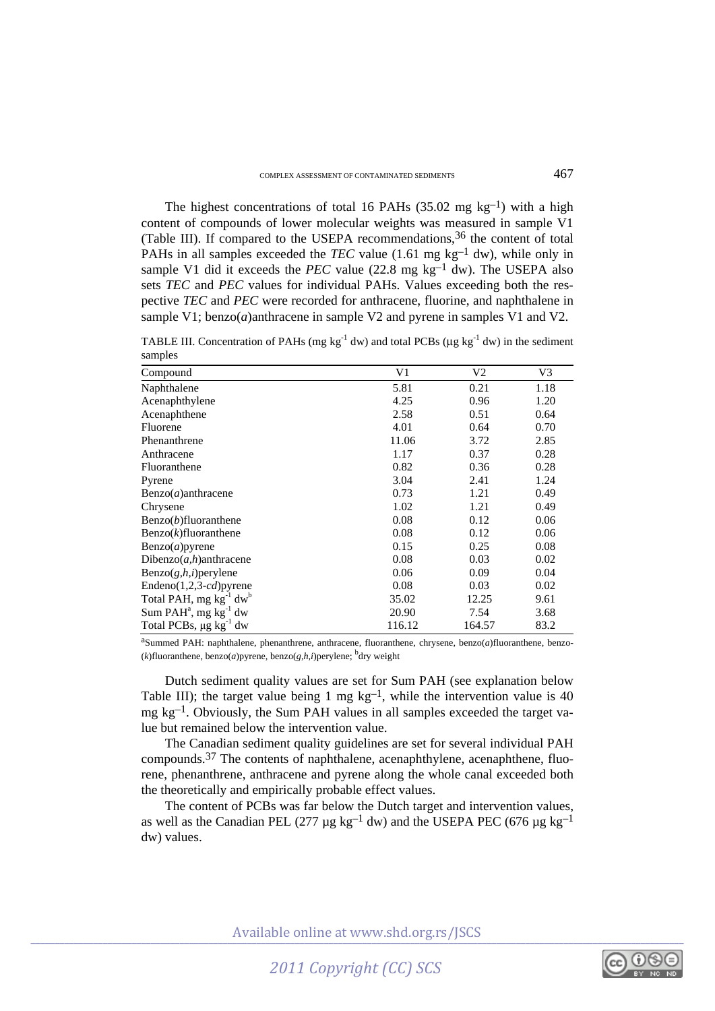The highest concentrations of total 16 PAHs (35.02 mg  $kg^{-1}$ ) with a high content of compounds of lower molecular weights was measured in sample V1 (Table III). If compared to the USEPA recommendations,36 the content of total PAHs in all samples exceeded the *TEC* value  $(1.61 \text{ mg kg}^{-1} \text{ dw})$ , while only in sample V1 did it exceeds the *PEC* value (22.8 mg  $kg^{-1}$  dw). The USEPA also sets *TEC* and *PEC* values for individual PAHs. Values exceeding both the respective *TEC* and *PEC* were recorded for anthracene, fluorine, and naphthalene in sample V1; benzo(*a*)anthracene in sample V2 and pyrene in samples V1 and V2.

TABLE III. Concentration of PAHs (mg kg<sup>-1</sup> dw) and total PCBs ( $\mu$ g kg<sup>-1</sup> dw) in the sediment samples

| $\ddot{\phantom{1}}$                           |        |        |      |
|------------------------------------------------|--------|--------|------|
| Compound                                       | V1     | V2     | V3   |
| Naphthalene                                    | 5.81   | 0.21   | 1.18 |
| Acenaphthylene                                 | 4.25   | 0.96   | 1.20 |
| Acenaphthene                                   | 2.58   | 0.51   | 0.64 |
| Fluorene                                       | 4.01   | 0.64   | 0.70 |
| Phenanthrene                                   | 11.06  | 3.72   | 2.85 |
| Anthracene                                     | 1.17   | 0.37   | 0.28 |
| Fluoranthene                                   | 0.82   | 0.36   | 0.28 |
| Pyrene                                         | 3.04   | 2.41   | 1.24 |
| $Benzo(a)$ anthracene                          | 0.73   | 1.21   | 0.49 |
| Chrysene                                       | 1.02   | 1.21   | 0.49 |
| $Benzo(b)$ fluoranthene                        | 0.08   | 0.12   | 0.06 |
| $Benzo(k)$ fluoranthene                        | 0.08   | 0.12   | 0.06 |
| $Benzo(a)$ pyrene                              | 0.15   | 0.25   | 0.08 |
| Dibenzo $(a, h)$ anthracene                    | 0.08   | 0.03   | 0.02 |
| $\text{Benzo}(g,h,i)$ perylene                 | 0.06   | 0.09   | 0.04 |
| Endeno $(1,2,3-cd)$ pyrene                     | 0.08   | 0.03   | 0.02 |
| Total PAH, mg kg <sup>-1</sup> dw <sup>b</sup> | 35.02  | 12.25  | 9.61 |
| Sum PAH <sup>a</sup> , mg $\text{kg}^{-1}$ dw  | 20.90  | 7.54   | 3.68 |
| Total PCBs, $\mu$ g kg <sup>-1</sup> dw        | 116.12 | 164.57 | 83.2 |

aSummed PAH: naphthalene, phenanthrene, anthracene, fluoranthene, chrysene, benzo(*a*)fluoranthene, benzo-  $(k)$ fluoranthene, benzo $(a)$ pyrene, benzo $(g,h,i)$ perylene; <sup>b</sup>dry weight

Dutch sediment quality values are set for Sum PAH (see explanation below Table III); the target value being 1 mg  $kg^{-1}$ , while the intervention value is 40  $mg \text{ kg}^{-1}$ . Obviously, the Sum PAH values in all samples exceeded the target value but remained below the intervention value.

The Canadian sediment quality guidelines are set for several individual PAH compounds.37 The contents of naphthalene, acenaphthylene, acenaphthene, fluorene, phenanthrene, anthracene and pyrene along the whole canal exceeded both the theoretically and empirically probable effect values.

The content of PCBs was far below the Dutch target and intervention values, as well as the Canadian PEL (277  $\mu$ g kg<sup>-1</sup> dw) and the USEPA PEC (676  $\mu$ g kg<sup>-1</sup> dw) values.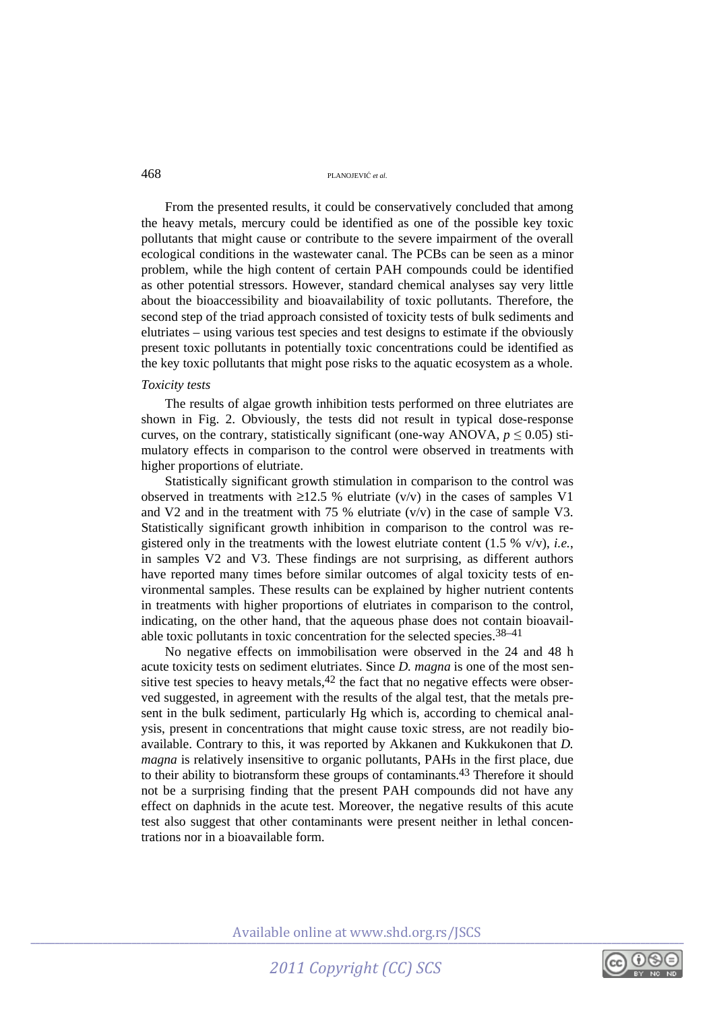From the presented results, it could be conservatively concluded that among the heavy metals, mercury could be identified as one of the possible key toxic pollutants that might cause or contribute to the severe impairment of the overall ecological conditions in the wastewater canal. The PCBs can be seen as a minor problem, while the high content of certain PAH compounds could be identified as other potential stressors. However, standard chemical analyses say very little about the bioaccessibility and bioavailability of toxic pollutants. Therefore, the second step of the triad approach consisted of toxicity tests of bulk sediments and elutriates – using various test species and test designs to estimate if the obviously present toxic pollutants in potentially toxic concentrations could be identified as the key toxic pollutants that might pose risks to the aquatic ecosystem as a whole.

# *Toxicity tests*

The results of algae growth inhibition tests performed on three elutriates are shown in Fig. 2. Obviously, the tests did not result in typical dose-response curves, on the contrary, statistically significant (one-way ANOVA,  $p \le 0.05$ ) stimulatory effects in comparison to the control were observed in treatments with higher proportions of elutriate.

Statistically significant growth stimulation in comparison to the control was observed in treatments with  $\geq$ 12.5 % elutriate (v/v) in the cases of samples V1 and V2 and in the treatment with 75 % elutriate (v/v) in the case of sample V3. Statistically significant growth inhibition in comparison to the control was registered only in the treatments with the lowest elutriate content (1.5 % v/v), *i.e.*, in samples V2 and V3. These findings are not surprising, as different authors have reported many times before similar outcomes of algal toxicity tests of environmental samples. These results can be explained by higher nutrient contents in treatments with higher proportions of elutriates in comparison to the control, indicating, on the other hand, that the aqueous phase does not contain bioavailable toxic pollutants in toxic concentration for the selected species.38–41

No negative effects on immobilisation were observed in the 24 and 48 h acute toxicity tests on sediment elutriates. Since *D. magna* is one of the most sensitive test species to heavy metals, $42$  the fact that no negative effects were observed suggested, in agreement with the results of the algal test, that the metals present in the bulk sediment, particularly Hg which is, according to chemical analysis, present in concentrations that might cause toxic stress, are not readily bioavailable. Contrary to this, it was reported by Akkanen and Kukkukonen that *D. magna* is relatively insensitive to organic pollutants, PAHs in the first place, due to their ability to biotransform these groups of contaminants.<sup>43</sup> Therefore it should not be a surprising finding that the present PAH compounds did not have any effect on daphnids in the acute test. Moreover, the negative results of this acute test also suggest that other contaminants were present neither in lethal concentrations nor in a bioavailable form.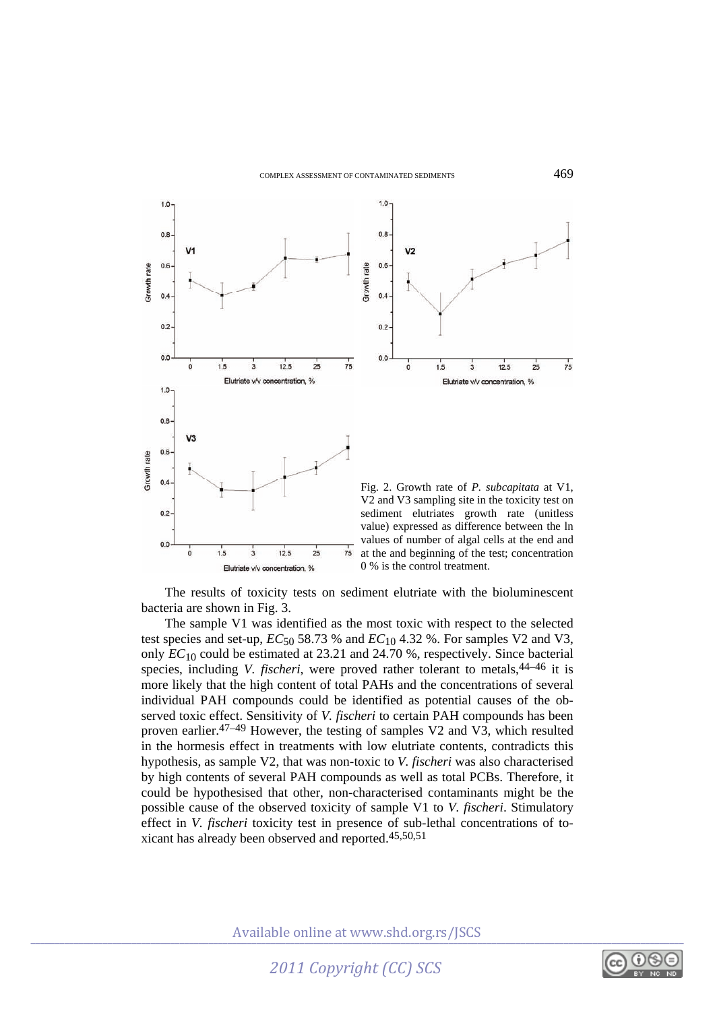

The results of toxicity tests on sediment elutriate with the bioluminescent bacteria are shown in Fig. 3.

The sample V1 was identified as the most toxic with respect to the selected test species and set-up,  $EC_{50}$  58.73 % and  $EC_{10}$  4.32 %. For samples V2 and V3, only *EC*10 could be estimated at 23.21 and 24.70 %, respectively. Since bacterial species, including *V. fischeri*, were proved rather tolerant to metals, <sup>44-46</sup> it is more likely that the high content of total PAHs and the concentrations of several individual PAH compounds could be identified as potential causes of the observed toxic effect. Sensitivity of *V. fischeri* to certain PAH compounds has been proven earlier.47–49 However, the testing of samples V2 and V3, which resulted in the hormesis effect in treatments with low elutriate contents, contradicts this hypothesis, as sample V2, that was non-toxic to *V. fischeri* was also characterised by high contents of several PAH compounds as well as total PCBs. Therefore, it could be hypothesised that other, non-characterised contaminants might be the possible cause of the observed toxicity of sample V1 to *V. fischeri*. Stimulatory effect in *V. fischeri* toxicity test in presence of sub-lethal concentrations of toxicant has already been observed and reported.45,50,51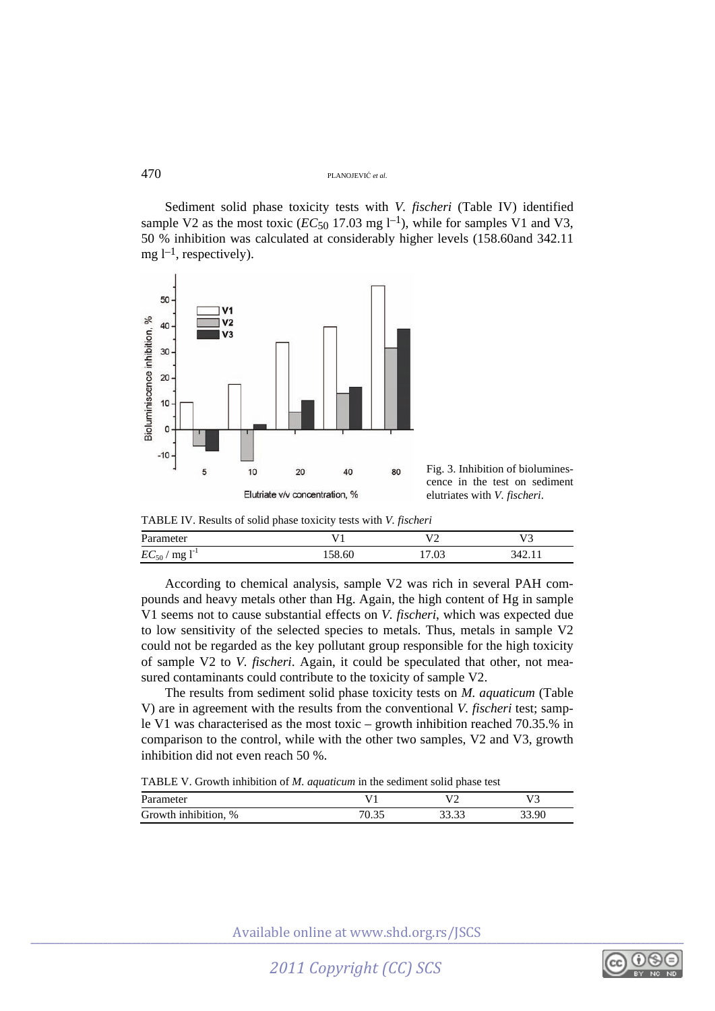Sediment solid phase toxicity tests with *V. fischeri* (Table IV) identified sample V2 as the most toxic ( $EC_{50}$  17.03 mg l<sup>-1</sup>), while for samples V1 and V3, 50 % inhibition was calculated at considerably higher levels (158.60and 342.11 mg  $l^{-1}$ , respectively).



Fig. 3. Inhibition of bioluminescence in the test on sediment elutriates with *V. fischeri*.

TABLE IV. Results of solid phase toxicity tests with *V. fischeri* 

| Parameter               |       |      |  |
|-------------------------|-------|------|--|
| $EC_{50}$ / mg $1^{-1}$ | 58.60 | 7.03 |  |
|                         |       |      |  |

According to chemical analysis, sample V2 was rich in several PAH compounds and heavy metals other than Hg. Again, the high content of Hg in sample V1 seems not to cause substantial effects on *V. fischeri*, which was expected due to low sensitivity of the selected species to metals. Thus, metals in sample V2 could not be regarded as the key pollutant group responsible for the high toxicity of sample V2 to *V. fischeri*. Again, it could be speculated that other, not measured contaminants could contribute to the toxicity of sample V2.

The results from sediment solid phase toxicity tests on *M. aquaticum* (Table V) are in agreement with the results from the conventional *V. fischeri* test; sample V1 was characterised as the most toxic – growth inhibition reached 70.35.% in comparison to the control, while with the other two samples, V2 and V3, growth inhibition did not even reach 50 %.

TABLE V. Growth inhibition of *M. aquaticum* in the sediment solid phase test

| 'arameter                                  |             | T                       | $T_{\rm 7}$<br>. . |
|--------------------------------------------|-------------|-------------------------|--------------------|
| Growth<br>$\%$<br>$\mu$ inhibition, $\psi$ | <u>v.JJ</u> | $\cdot$ $\sim$<br>JJ.JJ | .90                |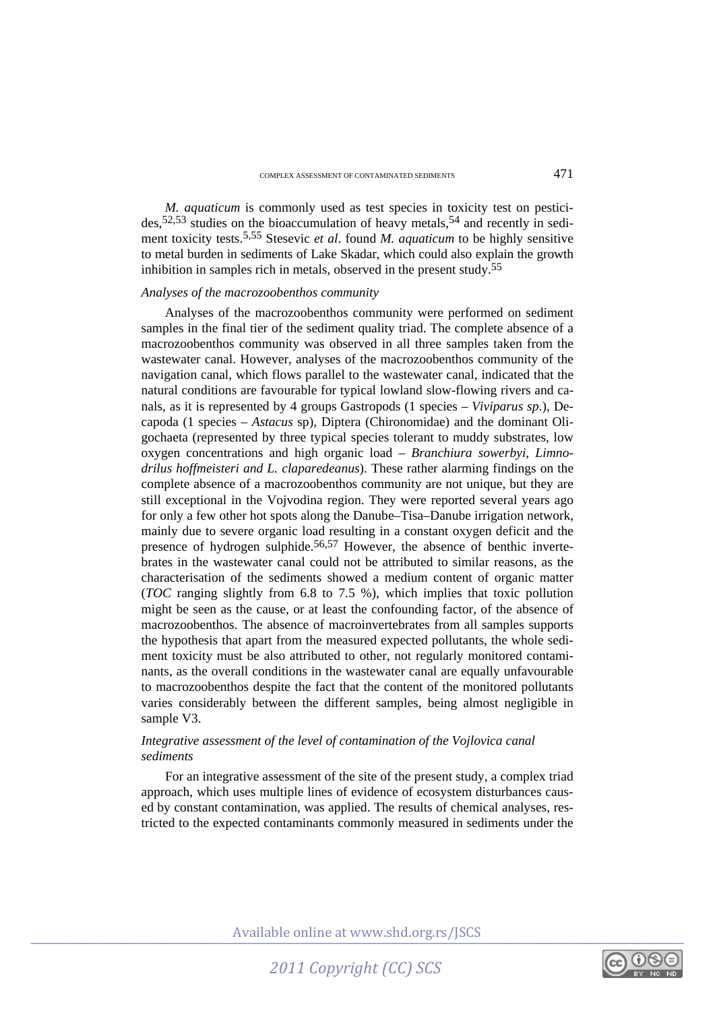*M. aquaticum* is commonly used as test species in toxicity test on pestici $des<sub>1</sub>$ <sup>52,53</sup> studies on the bioaccumulation of heavy metals,<sup>54</sup> and recently in sediment toxicity tests.5,55 Stesevic *et al*. found *M. aquaticum* to be highly sensitive to metal burden in sediments of Lake Skadar, which could also explain the growth inhibition in samples rich in metals, observed in the present study.55

# *Analyses of the macrozoobenthos community*

Analyses of the macrozoobenthos community were performed on sediment samples in the final tier of the sediment quality triad. The complete absence of a macrozoobenthos community was observed in all three samples taken from the wastewater canal. However, analyses of the macrozoobenthos community of the navigation canal, which flows parallel to the wastewater canal, indicated that the natural conditions are favourable for typical lowland slow-flowing rivers and canals, as it is represented by 4 groups Gastropods (1 species – *Viviparus sp*.), Decapoda (1 species – *Astacus* sp), Diptera (Chironomidae) and the dominant Oligochaeta (represented by three typical species tolerant to muddy substrates, low oxygen concentrations and high organic load – *Branchiura sowerbyi, Limnodrilus hoffmeisteri and L. claparedeanus*). These rather alarming findings on the complete absence of a macrozoobenthos community are not unique, but they are still exceptional in the Vojvodina region. They were reported several years ago for only a few other hot spots along the Danube–Tisa–Danube irrigation network, mainly due to severe organic load resulting in a constant oxygen deficit and the presence of hydrogen sulphide.56,57 However, the absence of benthic invertebrates in the wastewater canal could not be attributed to similar reasons, as the characterisation of the sediments showed a medium content of organic matter (*TOC* ranging slightly from 6.8 to 7.5 %), which implies that toxic pollution might be seen as the cause, or at least the confounding factor, of the absence of macrozoobenthos. The absence of macroinvertebrates from all samples supports the hypothesis that apart from the measured expected pollutants, the whole sediment toxicity must be also attributed to other, not regularly monitored contaminants, as the overall conditions in the wastewater canal are equally unfavourable to macrozoobenthos despite the fact that the content of the monitored pollutants varies considerably between the different samples, being almost negligible in sample V3.

# *Integrative assessment of the level of contamination of the Vojlovica canal sediments*

For an integrative assessment of the site of the present study, a complex triad approach, which uses multiple lines of evidence of ecosystem disturbances caused by constant contamination, was applied. The results of chemical analyses, restricted to the expected contaminants commonly measured in sediments under the

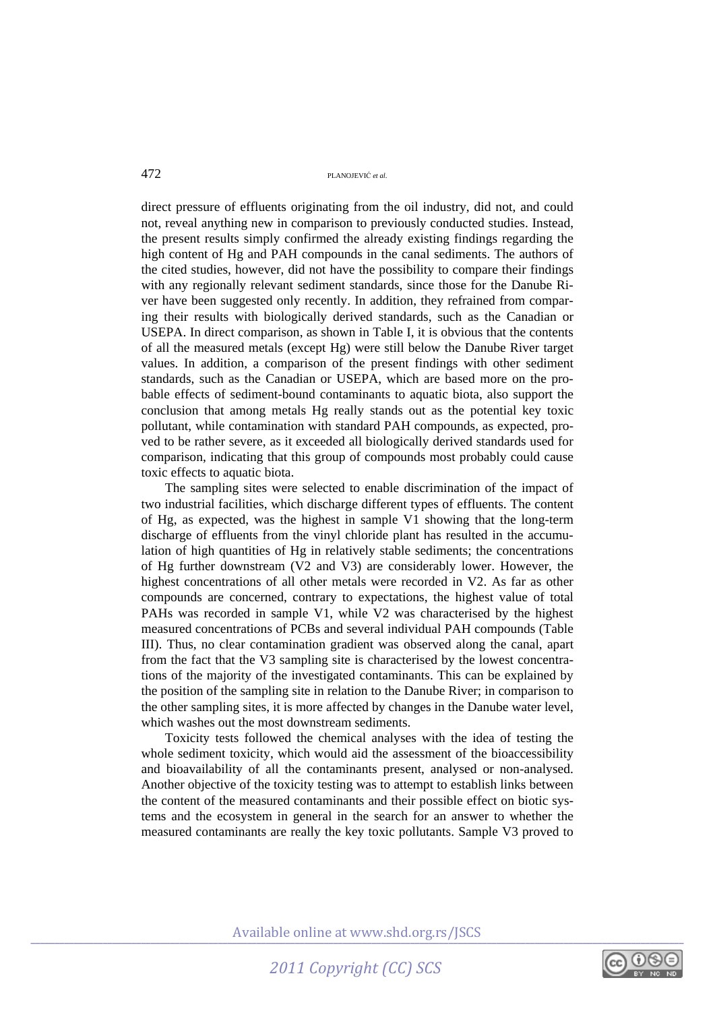direct pressure of effluents originating from the oil industry, did not, and could not, reveal anything new in comparison to previously conducted studies. Instead, the present results simply confirmed the already existing findings regarding the high content of Hg and PAH compounds in the canal sediments. The authors of the cited studies, however, did not have the possibility to compare their findings with any regionally relevant sediment standards, since those for the Danube River have been suggested only recently. In addition, they refrained from comparing their results with biologically derived standards, such as the Canadian or USEPA. In direct comparison, as shown in Table I, it is obvious that the contents of all the measured metals (except Hg) were still below the Danube River target values. In addition, a comparison of the present findings with other sediment standards, such as the Canadian or USEPA, which are based more on the probable effects of sediment-bound contaminants to aquatic biota, also support the conclusion that among metals Hg really stands out as the potential key toxic pollutant, while contamination with standard PAH compounds, as expected, proved to be rather severe, as it exceeded all biologically derived standards used for comparison, indicating that this group of compounds most probably could cause toxic effects to aquatic biota.

The sampling sites were selected to enable discrimination of the impact of two industrial facilities, which discharge different types of effluents. The content of Hg, as expected, was the highest in sample V1 showing that the long-term discharge of effluents from the vinyl chloride plant has resulted in the accumulation of high quantities of Hg in relatively stable sediments; the concentrations of Hg further downstream (V2 and V3) are considerably lower. However, the highest concentrations of all other metals were recorded in V2. As far as other compounds are concerned, contrary to expectations, the highest value of total PAHs was recorded in sample V1, while V2 was characterised by the highest measured concentrations of PCBs and several individual PAH compounds (Table III). Thus, no clear contamination gradient was observed along the canal, apart from the fact that the V3 sampling site is characterised by the lowest concentrations of the majority of the investigated contaminants. This can be explained by the position of the sampling site in relation to the Danube River; in comparison to the other sampling sites, it is more affected by changes in the Danube water level, which washes out the most downstream sediments.

Toxicity tests followed the chemical analyses with the idea of testing the whole sediment toxicity, which would aid the assessment of the bioaccessibility and bioavailability of all the contaminants present, analysed or non-analysed. Another objective of the toxicity testing was to attempt to establish links between the content of the measured contaminants and their possible effect on biotic systems and the ecosystem in general in the search for an answer to whether the measured contaminants are really the key toxic pollutants. Sample V3 proved to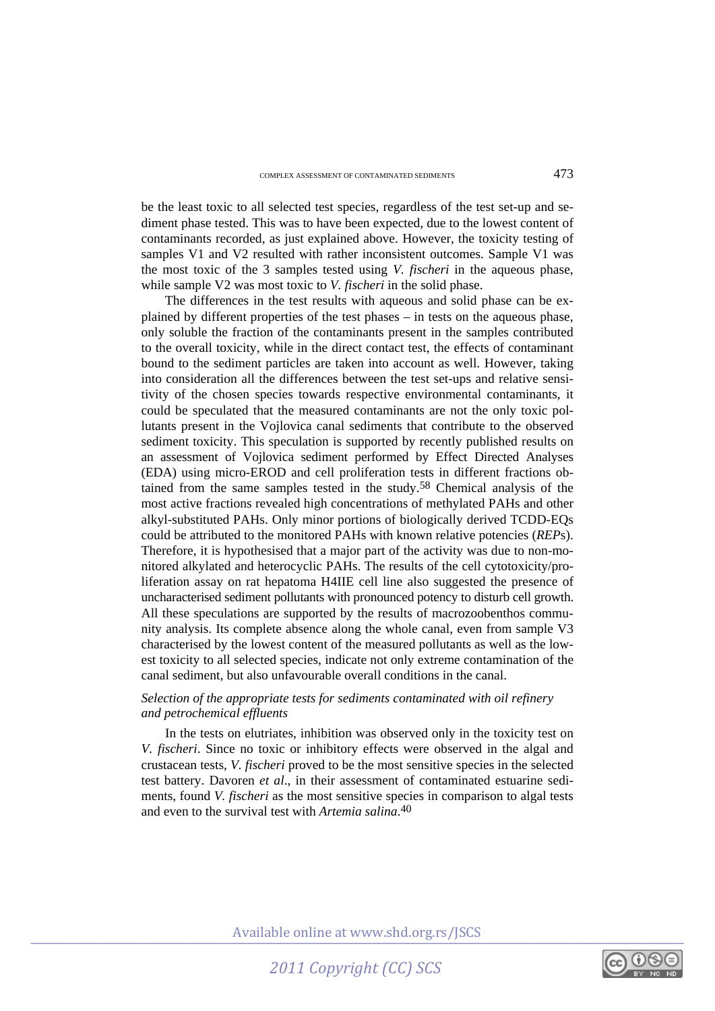be the least toxic to all selected test species, regardless of the test set-up and sediment phase tested. This was to have been expected, due to the lowest content of contaminants recorded, as just explained above. However, the toxicity testing of samples V1 and V2 resulted with rather inconsistent outcomes. Sample V1 was the most toxic of the 3 samples tested using *V. fischeri* in the aqueous phase, while sample V2 was most toxic to *V. fischeri* in the solid phase.

The differences in the test results with aqueous and solid phase can be explained by different properties of the test phases – in tests on the aqueous phase, only soluble the fraction of the contaminants present in the samples contributed to the overall toxicity, while in the direct contact test, the effects of contaminant bound to the sediment particles are taken into account as well. However, taking into consideration all the differences between the test set-ups and relative sensitivity of the chosen species towards respective environmental contaminants, it could be speculated that the measured contaminants are not the only toxic pollutants present in the Vojlovica canal sediments that contribute to the observed sediment toxicity. This speculation is supported by recently published results on an assessment of Vojlovica sediment performed by Effect Directed Analyses (EDA) using micro-EROD and cell proliferation tests in different fractions obtained from the same samples tested in the study.58 Chemical analysis of the most active fractions revealed high concentrations of methylated PAHs and other alkyl-substituted PAHs. Only minor portions of biologically derived TCDD-EQs could be attributed to the monitored PAHs with known relative potencies (*REP*s). Therefore, it is hypothesised that a major part of the activity was due to non-monitored alkylated and heterocyclic PAHs. The results of the cell cytotoxicity/proliferation assay on rat hepatoma H4IIE cell line also suggested the presence of uncharacterised sediment pollutants with pronounced potency to disturb cell growth. All these speculations are supported by the results of macrozoobenthos community analysis. Its complete absence along the whole canal, even from sample V3 characterised by the lowest content of the measured pollutants as well as the lowest toxicity to all selected species, indicate not only extreme contamination of the canal sediment, but also unfavourable overall conditions in the canal.

# *Selection of the appropriate tests for sediments contaminated with oil refinery and petrochemical effluents*

In the tests on elutriates, inhibition was observed only in the toxicity test on *V. fischeri*. Since no toxic or inhibitory effects were observed in the algal and crustacean tests, *V. fischeri* proved to be the most sensitive species in the selected test battery. Davoren *et al*., in their assessment of contaminated estuarine sediments, found *V. fischeri* as the most sensitive species in comparison to algal tests and even to the survival test with *Artemia salina*. 40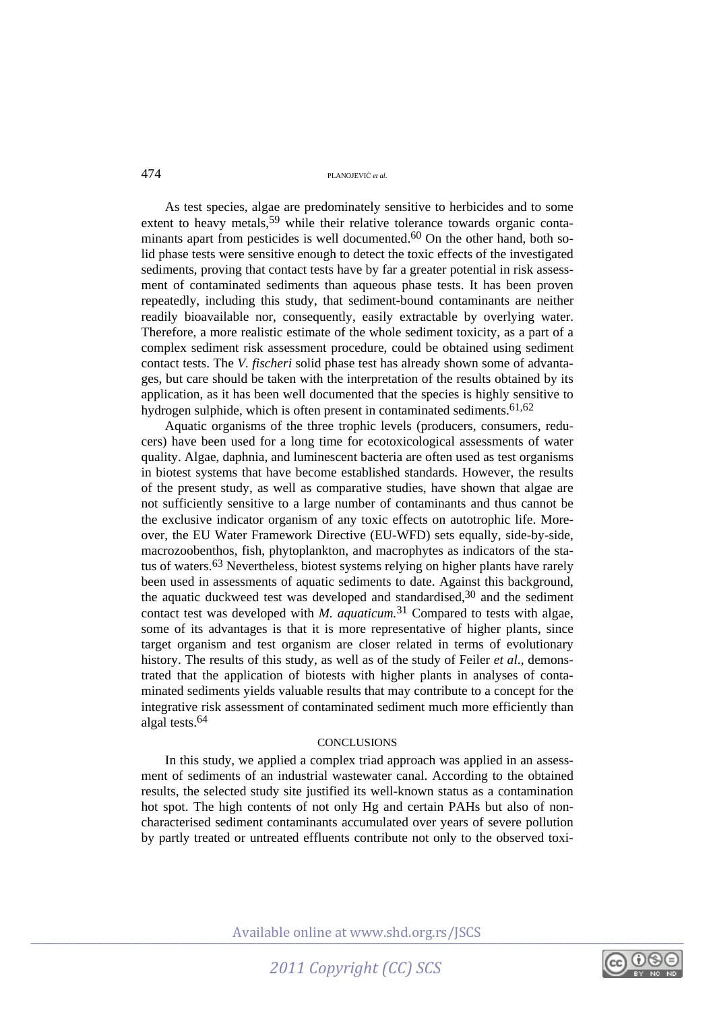As test species, algae are predominately sensitive to herbicides and to some extent to heavy metals,<sup>59</sup> while their relative tolerance towards organic contaminants apart from pesticides is well documented. $60$  On the other hand, both solid phase tests were sensitive enough to detect the toxic effects of the investigated sediments, proving that contact tests have by far a greater potential in risk assessment of contaminated sediments than aqueous phase tests. It has been proven repeatedly, including this study, that sediment-bound contaminants are neither readily bioavailable nor, consequently, easily extractable by overlying water. Therefore, a more realistic estimate of the whole sediment toxicity, as a part of a complex sediment risk assessment procedure, could be obtained using sediment contact tests. The *V. fischeri* solid phase test has already shown some of advantages, but care should be taken with the interpretation of the results obtained by its application, as it has been well documented that the species is highly sensitive to hydrogen sulphide, which is often present in contaminated sediments.<sup>61,62</sup>

Aquatic organisms of the three trophic levels (producers, consumers, reducers) have been used for a long time for ecotoxicological assessments of water quality. Algae, daphnia, and luminescent bacteria are often used as test organisms in biotest systems that have become established standards. However, the results of the present study, as well as comparative studies, have shown that algae are not sufficiently sensitive to a large number of contaminants and thus cannot be the exclusive indicator organism of any toxic effects on autotrophic life. Moreover, the EU Water Framework Directive (EU-WFD) sets equally, side-by-side, macrozoobenthos, fish, phytoplankton, and macrophytes as indicators of the status of waters.63 Nevertheless, biotest systems relying on higher plants have rarely been used in assessments of aquatic sediments to date. Against this background, the aquatic duckweed test was developed and standardised, $30$  and the sediment contact test was developed with *M. aquaticum.*31 Compared to tests with algae, some of its advantages is that it is more representative of higher plants, since target organism and test organism are closer related in terms of evolutionary history. The results of this study, as well as of the study of Feiler *et al*., demonstrated that the application of biotests with higher plants in analyses of contaminated sediments yields valuable results that may contribute to a concept for the integrative risk assessment of contaminated sediment much more efficiently than algal tests.64

# **CONCLUSIONS**

In this study, we applied a complex triad approach was applied in an assessment of sediments of an industrial wastewater canal. According to the obtained results, the selected study site justified its well-known status as a contamination hot spot. The high contents of not only Hg and certain PAHs but also of noncharacterised sediment contaminants accumulated over years of severe pollution by partly treated or untreated effluents contribute not only to the observed toxi-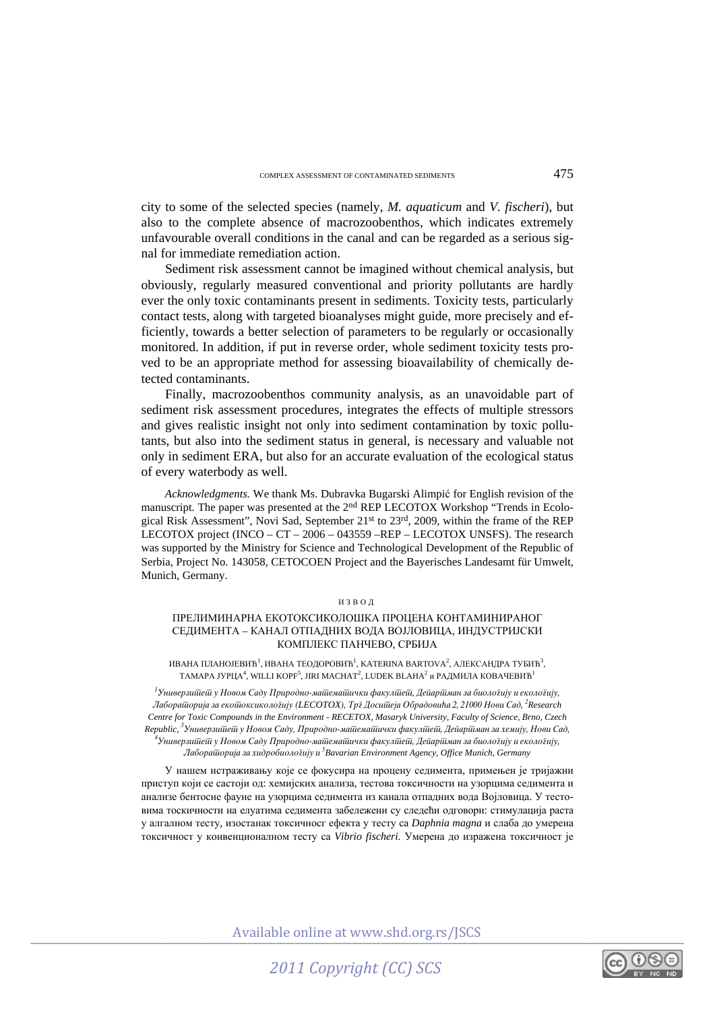city to some of the selected species (namely, *M. aquaticum* and *V. fischeri*), but also to the complete absence of macrozoobenthos, which indicates extremely unfavourable overall conditions in the canal and can be regarded as a serious signal for immediate remediation action.

Sediment risk assessment cannot be imagined without chemical analysis, but obviously, regularly measured conventional and priority pollutants are hardly ever the only toxic contaminants present in sediments. Toxicity tests, particularly contact tests, along with targeted bioanalyses might guide, more precisely and efficiently, towards a better selection of parameters to be regularly or occasionally monitored. In addition, if put in reverse order, whole sediment toxicity tests proved to be an appropriate method for assessing bioavailability of chemically detected contaminants.

Finally, macrozoobenthos community analysis, as an unavoidable part of sediment risk assessment procedures, integrates the effects of multiple stressors and gives realistic insight not only into sediment contamination by toxic pollutants, but also into the sediment status in general, is necessary and valuable not only in sediment ERA, but also for an accurate evaluation of the ecological status of every waterbody as well.

*Acknowledgments.* We thank Ms. Dubravka Bugarski Alimpić for English revision of the manuscript. The paper was presented at the 2nd REP LECOTOX Workshop "Trends in Ecological Risk Assessment", Novi Sad, September 21st to 23rd, 2009, within the frame of the REP LECOTOX project (INCO – CT – 2006 – 043559 –REP – LECOTOX UNSFS). The research was supported by the Ministry for Science and Technological Development of the Republic of Serbia, Project No. 143058, CETOCOEN Project and the Bayerisches Landesamt für Umwelt, Munich, Germany.

#### ИЗВОД

# ПРЕЛИМИНАРНА ЕКОТОКСИКОЛОШКА ПРОЦЕНА КОНТАМИНИРАНОГ СЕДИМЕНТА – КАНАЛ ОТПАДНИХ ВОДА ВОЈЛОВИЦА, ИНДУСТРИЈСКИ КОМПЛЕКС ПАНЧЕВО, СРБИЈА

ИВАНА ПЛАНОЈЕВИЋ $^1$ , ИВАНА ТЕОДОРОВИЋ $^1$ , KATERINA BARTOVA $^2$ , АЛЕКСАНДРА ТУБИЋ $^3$ , ТАМАРА ЈУРЦА $^4$ , WILLI KOPF $^5$ , JIRI MACHAT $^2$ , LUDEK BLAHA $^2$  и РАДМИЛА КОВАЧЕВИЋ $^1$ 

<sup>1</sup> Универзиū́іеū у Новом Саду Природно-маū́іемаū́іички факулū́іеū́і, Деū́арū́іман за биолог̃ију и еколог̄ију, *Laboratorija za ekotoksikologiju (LECOTOX), Trg Dositeja Obradovi}a 2, 21000 Novi Sad, <sup>2</sup> Research Centre for Toxic Compounds in the Environment - RECETOX, Masaryk University, Faculty of Science, Brno, Czech*  Republic, <sup>3</sup>Универзийіейі у Новом Саду, Природно-майіемайшчки факулійейі, Дейарйіман за хемију, Нови Сад,<br>— <sup>4</sup>Универзийнай у Новом Саду Природно-майіамайшчки факулійній. Дейарйіман за биолодніў и аколодніў. <sup>4</sup>Универзи $\bar u$ еий у Новом Саду Природно-ма $\bar u$ ема $\bar u$ ички факул $\bar u$ ей, Дейар $\bar u$ ман за биоло $\bar v$ ију и еколо $\bar v$ ију, *Laboratorija za hidrobiologiju i <sup>5</sup> Bavarian Environment Agency, Office Munich, Germany*

У нашем истраживању које се фокусира на процену седимента, примењен је тријажни приступ који се састоји од: хемијских анализа, тестова токсичности на узорцима седимента и анализе бентосне фауне на узорцима седимента из канала отпадних вода Војловица. У тестовима тоскичности на елуатима седимента забележени су следећи одговори: стимулација раста у алгалном тесту, изостанак токсичносг ефекта у тесту са *Daphnia magna* и слаба до умерена токсичност у конвенционалном тесту са *Vibrio fischeri.* Умерена до изражена токсичност је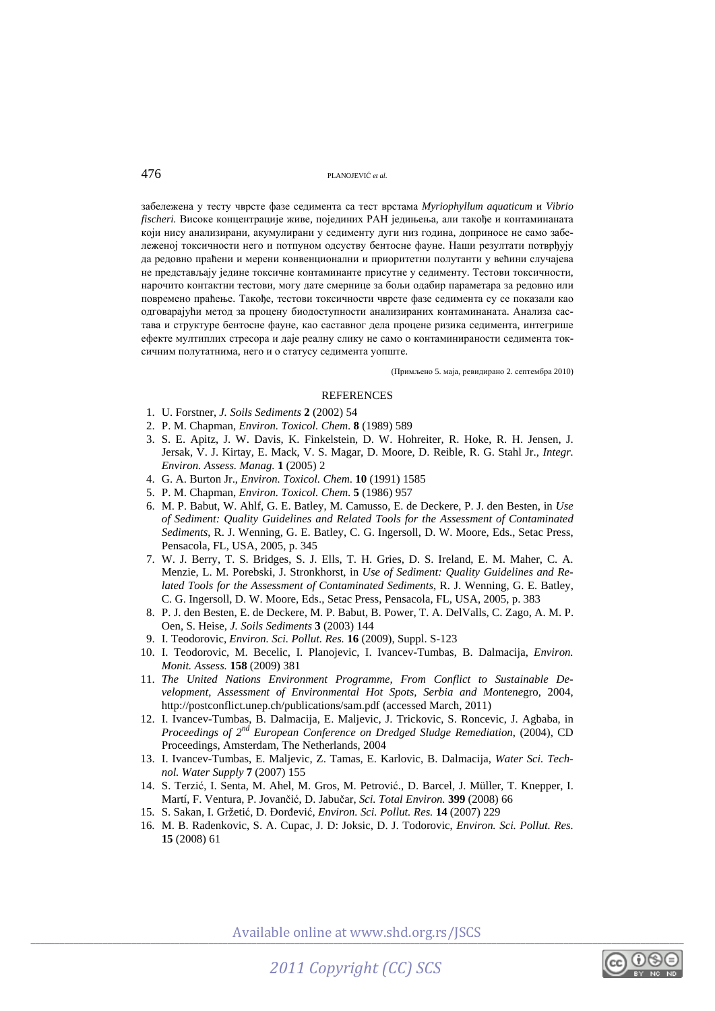забележена у тесту чврсте фазе седимента са тест врстама *Myriophyllum aquaticum* и *Vibrio fischeri.* Високе концентрације живе, појединих РАН једињења, али такође и контаминаната који нису анализирани, акумулирани у седименту дуги низ година, доприносе не само забележеној токсичности него и потпуном одсуству бентосне фауне. Наши резултати потврђују да редовно праћени и мерени конвенционални и приоритетни полутанти у већини случајева не представљају једине токсичне контаминанте присутне у седименту. Тестови токсичности, нарочито контактни тестови, могу дате смернице за бољи одабир параметара за редовно или повремено праћење. Такође, тестови токсичности чврсте фазе седимента су се показали као одговарајући метод за процену биодоступности анализираних контаминаната. Анализа састава и структуре бентосне фауне, као саставног дела процене ризика седимента, интегрише ефекте мултиплих стресора и даје реалну слику не само о контаминираности седимента токсичним полутатнима, него и о статусу седимента уопште.

(Примљено 5. маја, ревидирано 2. септембра 2010)

#### REFERENCES

- 1. U. Forstner, *J. Soils Sediments* **2** (2002) 54
- 2. P. M. Chapman, *Environ. Toxicol. Chem*. **8** (1989) 589
- 3. S. E. Apitz, J. W. Davis, K. Finkelstein, D. W. Hohreiter, R. Hoke, R. H. Jensen, J. Jersak, V. J. Kirtay, E. Mack, V. S. Magar, D. Moore, D. Reible, R. G. Stahl Jr., *Integr. Environ. Assess. Manag.* **1** (2005) 2
- 4. G. A. Burton Jr., *Environ. Toxicol. Chem*. **10** (1991) 1585
- 5. P. M. Chapman, *Environ. Toxicol. Chem*. **5** (1986) 957
- 6. M. P. Babut, W. Ahlf, G. E. Batley, M. Camusso, E. de Deckere, P. J. den Besten, in *Use of Sediment: Quality Guidelines and Related Tools for the Assessment of Contaminated Sediments*, R. J. Wenning, G. E. Batley, C. G. Ingersoll, D. W. Moore, Eds., Setac Press, Pensacola, FL, USA, 2005, p. 345
- 7. W. J. Berry, T. S. Bridges, S. J. Ells, T. H. Gries, D. S. Ireland, E. M. Maher, C. A. Menzie, L. M. Porebski, J. Stronkhorst, in *Use of Sediment: Quality Guidelines and Related Tools for the Assessment of Contaminated Sediments*, R. J. Wenning, G. E. Batley, C. G. Ingersoll, D. W. Moore, Eds., Setac Press, Pensacola, FL, USA, 2005, p. 383
- 8. P. J. den Besten, E. de Deckere, M. P. Babut, B. Power, T. A. DelValls, C. Zago, A. M. P. Oen, S. Heise, *J. Soils Sediments* **3** (2003) 144
- 9. I. Teodorovic, *Environ. Sci. Pollut. Res.* **16** (2009), Suppl. S-123
- 10. I. Teodorovic, M. Becelic, I. Planojevic, I. Ivancev-Tumbas, B. Dalmacija, *Environ. Monit. Assess.* **158** (2009) 381
- 11. *The United Nations Environment Programme, From Conflict to Sustainable Development, Assessment of Environmental Hot Spots, Serbia and Montene*gro, 2004, http://postconflict.unep.ch/publications/sam.pdf (accessed March, 2011)
- 12. I. Ivancev-Tumbas, B. Dalmacija, E. Maljevic, J. Trickovic, S. Roncevic, J. Agbaba, in *Proceedings of 2nd European Conference on Dredged Sludge Remediation*, (2004), CD Proceedings, Amsterdam, The Netherlands, 2004
- 13. I. Ivancev-Tumbas, E. Maljevic, Z. Tamas, E. Karlovic, B. Dalmacija, *Water Sci. Technol. Water Supply* **7** (2007) 155
- 14. S. Terzić, I. Senta, M. Ahel, M. Gros, M. Petrović., D. Barcel, J. Müller, T. Knepper, I. Martí, F. Ventura, P. Jovančić, D. Jabučar, *Sci. Total Environ.* **399** (2008) 66
- 15. S. Sakan, I. Gržetić, D. Đorđević, *Environ. Sci. Pollut. Res.* **14** (2007) 229
- 16. M. B. Radenkovic, S. A. Cupac, J. D: Joksic, D. J. Todorovic, *Environ. Sci. Pollut. Res.* **15** (2008) 61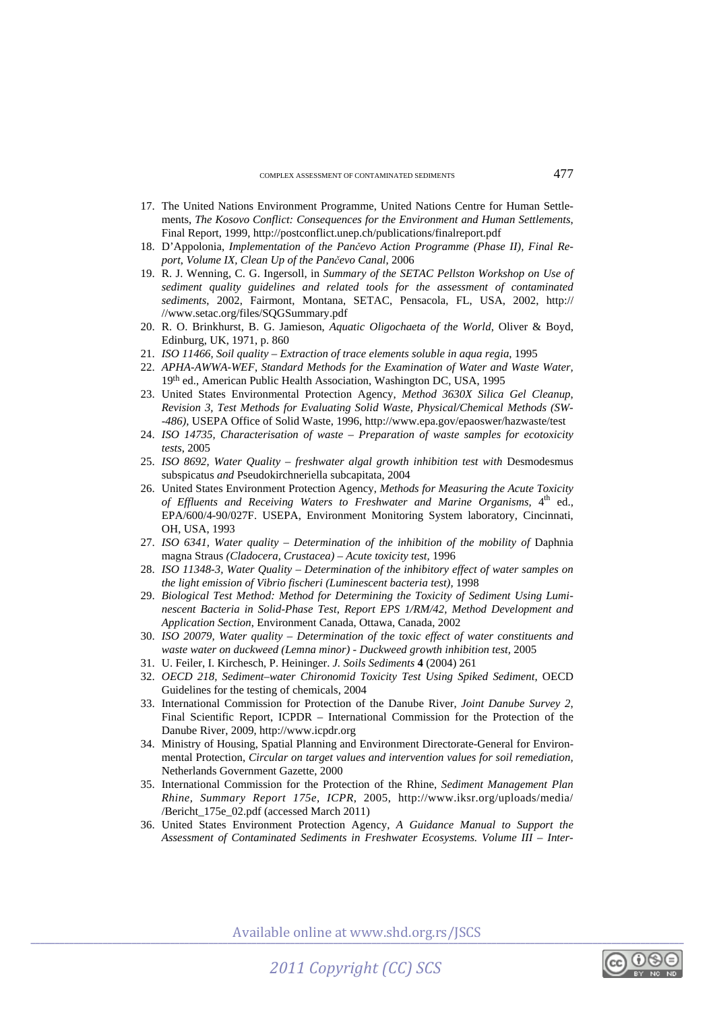- 17. The United Nations Environment Programme, United Nations Centre for Human Settlements, *The Kosovo Conflict: Consequences for the Environment and Human Settlements*, Final Report, 1999, http://postconflict.unep.ch/publications/finalreport.pdf
- 18. D'Appolonia, *Implementation of the Pančevo Action Programme (Phase II), Final Report*, *Volume IX, Clean Up of the Pančevo Canal*, 2006
- 19. R. J. Wenning, C. G. Ingersoll, in *Summary of the SETAC Pellston Workshop on Use of sediment quality guidelines and related tools for the assessment of contaminated sediments*, 2002, Fairmont, Montana, SETAC, Pensacola, FL, USA, 2002, http:// //www.setac.org/files/SQGSummary.pdf
- 20. R. O. Brinkhurst, B. G. Jamieson, *Aquatic Oligochaeta of the World*, Oliver & Boyd, Edinburg, UK, 1971, p. 860
- 21. *ISO 11466, Soil quality Extraction of trace elements soluble in aqua regia*, 1995
- 22. *APHA-AWWA-WEF*, *Standard Methods for the Examination of Water and Waste Water,*  19th ed., American Public Health Association, Washington DC, USA, 1995
- 23. United States Environmental Protection Agency, *Method 3630X Silica Gel Cleanup*, *Revision 3, Test Methods for Evaluating Solid Waste, Physical/Chemical Methods (SW- -486),* USEPA Office of Solid Waste, 1996, http://www.epa.gov/epaoswer/hazwaste/test
- 24. *ISO 14735, Characterisation of waste Preparation of waste samples for ecotoxicity tests*, 2005
- 25. *ISO 8692, Water Quality freshwater algal growth inhibition test with* Desmodesmus subspicatus *and* Pseudokirchneriella subcapitata, 2004
- 26. United States Environment Protection Agency, *Methods for Measuring the Acute Toxicity of Effluents and Receiving Waters to Freshwater and Marine Organisms,* 4<sup>th</sup> ed., EPA/600/4-90/027F. USEPA, Environment Monitoring System laboratory, Cincinnati, OH, USA, 1993
- 27. *ISO 6341, Water quality Determination of the inhibition of the mobility of* Daphnia magna Straus *(Cladocera, Crustacea) – Acute toxicity test,* 1996
- 28. *ISO 11348-3, Water Quality Determination of the inhibitory effect of water samples on the light emission of Vibrio fischeri (Luminescent bacteria test),* 1998
- 29. *Biological Test Method: Method for Determining the Toxicity of Sediment Using Luminescent Bacteria in Solid-Phase Test*, *Report EPS 1/RM/42, Method Development and Application Section*, Environment Canada, Ottawa, Canada, 2002
- 30. *ISO 20079, Water quality Determination of the toxic effect of water constituents and waste water on duckweed (Lemna minor) - Duckweed growth inhibition test,* 2005
- 31. U. Feiler, I. Kirchesch, P. Heininger. *J. Soils Sediments* **4** (2004) 261
- 32. *OECD 218, Sediment–water Chironomid Toxicity Test Using Spiked Sediment*, OECD Guidelines for the testing of chemicals, 2004
- 33. International Commission for Protection of the Danube River, *Joint Danube Survey 2*, Final Scientific Report, ICPDR – International Commission for the Protection of the Danube River, 2009, http://www.icpdr.org
- 34. Ministry of Housing, Spatial Planning and Environment Directorate-General for Environmental Protection, *Circular on target values and intervention values for soil remediation,* Netherlands Government Gazette, 2000
- 35. International Commission for the Protection of the Rhine, *Sediment Management Plan Rhine, Summary Report 175e, ICPR*, 2005, http://www.iksr.org/uploads/media/ /Bericht\_175e\_02.pdf (accessed March 2011)
- 36. United States Environment Protection Agency, *A Guidance Manual to Support the Assessment of Contaminated Sediments in Freshwater Ecosystems. Volume III – Inter-*